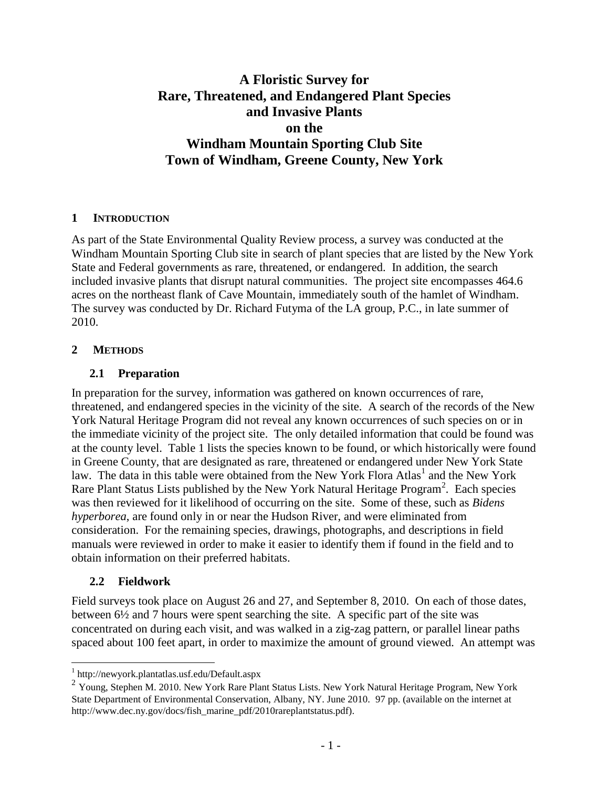# **A Floristic Survey for Rare, Threatened, and Endangered Plant Species and Invasive Plants on the Windham Mountain Sporting Club Site Town of Windham, Greene County, New York**

### **1 INTRODUCTION**

As part of the State Environmental Quality Review process, a survey was conducted at the Windham Mountain Sporting Club site in search of plant species that are listed by the New York State and Federal governments as rare, threatened, or endangered. In addition, the search included invasive plants that disrupt natural communities. The project site encompasses 464.6 acres on the northeast flank of Cave Mountain, immediately south of the hamlet of Windham. The survey was conducted by Dr. Richard Futyma of the LA group, P.C., in late summer of 2010.

### **2 METHODS**

### **2.1 Preparation**

In preparation for the survey, information was gathered on known occurrences of rare, threatened, and endangered species in the vicinity of the site. A search of the records of the New York Natural Heritage Program did not reveal any known occurrences of such species on or in the immediate vicinity of the project site. The only detailed information that could be found was at the county level. Table 1 lists the species known to be found, or which historically were found in Greene County, that are designated as rare, threatened or endangered under New York State law. The data in this table were obtained from the New York Flora Atlas<sup>1</sup> and the New York Rare Plant Status Lists published by the New York Natural Heritage Program<sup>2</sup>. Each species was then reviewed for it likelihood of occurring on the site. Some of these, such as *Bidens hyperborea*, are found only in or near the Hudson River, and were eliminated from consideration. For the remaining species, drawings, photographs, and descriptions in field manuals were reviewed in order to make it easier to identify them if found in the field and to obtain information on their preferred habitats.

### **2.2 Fieldwork**

Field surveys took place on August 26 and 27, and September 8, 2010. On each of those dates, between 6½ and 7 hours were spent searching the site. A specific part of the site was concentrated on during each visit, and was walked in a zig-zag pattern, or parallel linear paths spaced about 100 feet apart, in order to maximize the amount of ground viewed. An attempt was

 1 http://newyork.plantatlas.usf.edu/Default.aspx

<sup>&</sup>lt;sup>2</sup> Young, Stephen M. 2010. New York Rare Plant Status Lists. New York Natural Heritage Program, New York State Department of Environmental Conservation, Albany, NY. June 2010. 97 pp. (available on the internet at http://www.dec.ny.gov/docs/fish\_marine\_pdf/2010rareplantstatus.pdf).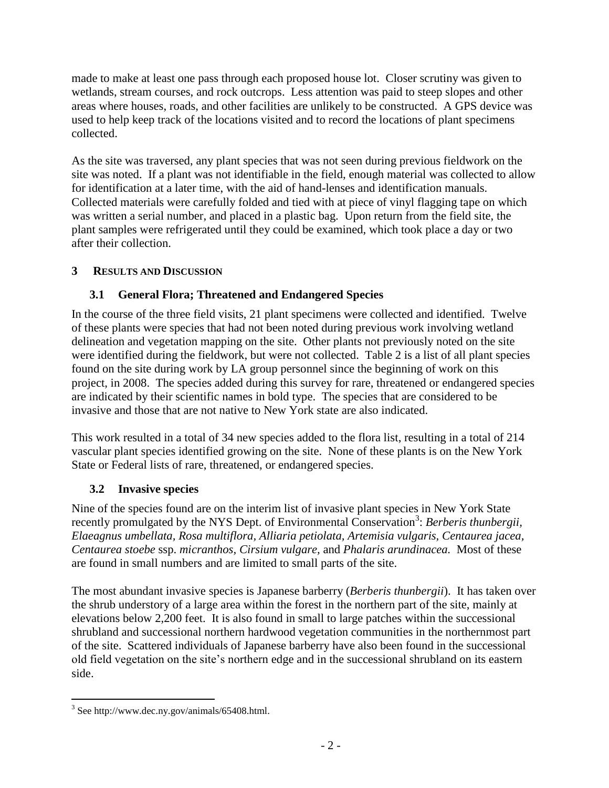made to make at least one pass through each proposed house lot. Closer scrutiny was given to wetlands, stream courses, and rock outcrops. Less attention was paid to steep slopes and other areas where houses, roads, and other facilities are unlikely to be constructed. A GPS device was used to help keep track of the locations visited and to record the locations of plant specimens collected.

As the site was traversed, any plant species that was not seen during previous fieldwork on the site was noted. If a plant was not identifiable in the field, enough material was collected to allow for identification at a later time, with the aid of hand-lenses and identification manuals. Collected materials were carefully folded and tied with at piece of vinyl flagging tape on which was written a serial number, and placed in a plastic bag. Upon return from the field site, the plant samples were refrigerated until they could be examined, which took place a day or two after their collection.

# **3 RESULTS AND DISCUSSION**

# **3.1 General Flora; Threatened and Endangered Species**

In the course of the three field visits, 21 plant specimens were collected and identified. Twelve of these plants were species that had not been noted during previous work involving wetland delineation and vegetation mapping on the site. Other plants not previously noted on the site were identified during the fieldwork, but were not collected. Table 2 is a list of all plant species found on the site during work by LA group personnel since the beginning of work on this project, in 2008. The species added during this survey for rare, threatened or endangered species are indicated by their scientific names in bold type. The species that are considered to be invasive and those that are not native to New York state are also indicated.

This work resulted in a total of 34 new species added to the flora list, resulting in a total of 214 vascular plant species identified growing on the site. None of these plants is on the New York State or Federal lists of rare, threatened, or endangered species.

# **3.2 Invasive species**

Nine of the species found are on the interim list of invasive plant species in New York State recently promulgated by the NYS Dept. of Environmental Conservation<sup>3</sup>: Berberis thunbergii, *Elaeagnus umbellata, Rosa multiflora, Alliaria petiolata, Artemisia vulgaris, Centaurea jacea, Centaurea stoebe* ssp. *micranthos, Cirsium vulgare,* and *Phalaris arundinacea.* Most of these are found in small numbers and are limited to small parts of the site.

The most abundant invasive species is Japanese barberry (*Berberis thunbergii*). It has taken over the shrub understory of a large area within the forest in the northern part of the site, mainly at elevations below 2,200 feet. It is also found in small to large patches within the successional shrubland and successional northern hardwood vegetation communities in the northernmost part of the site. Scattered individuals of Japanese barberry have also been found in the successional old field vegetation on the site's northern edge and in the successional shrubland on its eastern side.

 3 See http://www.dec.ny.gov/animals/65408.html.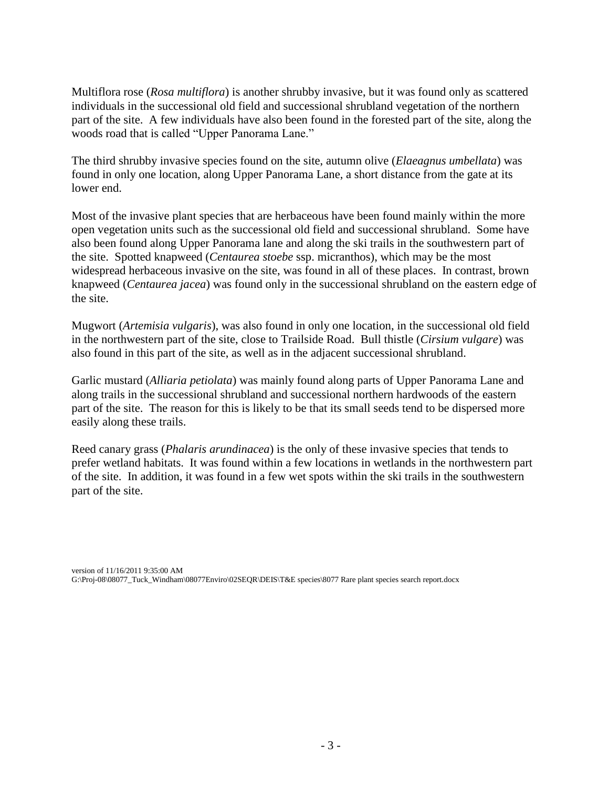Multiflora rose (*Rosa multiflora*) is another shrubby invasive, but it was found only as scattered individuals in the successional old field and successional shrubland vegetation of the northern part of the site. A few individuals have also been found in the forested part of the site, along the woods road that is called "Upper Panorama Lane."

The third shrubby invasive species found on the site, autumn olive (*Elaeagnus umbellata*) was found in only one location, along Upper Panorama Lane, a short distance from the gate at its lower end.

Most of the invasive plant species that are herbaceous have been found mainly within the more open vegetation units such as the successional old field and successional shrubland. Some have also been found along Upper Panorama lane and along the ski trails in the southwestern part of the site. Spotted knapweed (*Centaurea stoebe* ssp. micranthos), which may be the most widespread herbaceous invasive on the site, was found in all of these places. In contrast, brown knapweed (*Centaurea jacea*) was found only in the successional shrubland on the eastern edge of the site.

Mugwort (*Artemisia vulgaris*), was also found in only one location, in the successional old field in the northwestern part of the site, close to Trailside Road. Bull thistle (*Cirsium vulgare*) was also found in this part of the site, as well as in the adjacent successional shrubland.

Garlic mustard (*Alliaria petiolata*) was mainly found along parts of Upper Panorama Lane and along trails in the successional shrubland and successional northern hardwoods of the eastern part of the site. The reason for this is likely to be that its small seeds tend to be dispersed more easily along these trails.

Reed canary grass (*Phalaris arundinacea*) is the only of these invasive species that tends to prefer wetland habitats. It was found within a few locations in wetlands in the northwestern part of the site. In addition, it was found in a few wet spots within the ski trails in the southwestern part of the site.

version of 11/16/2011 9:35:00 AM G:\Proj-08\08077\_Tuck\_Windham\08077Enviro\02SEQR\DEIS\T&E species\8077 Rare plant species search report.docx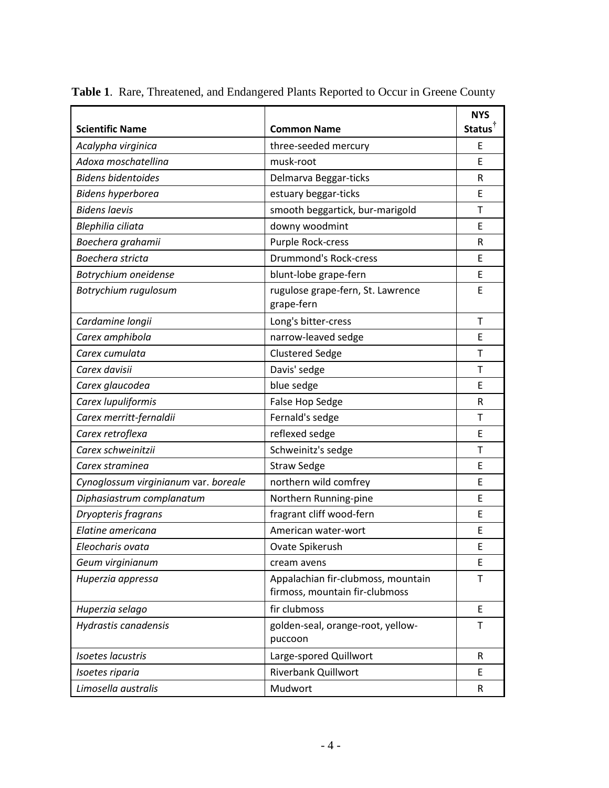|                                      |                                                                      | <b>NYS</b>          |
|--------------------------------------|----------------------------------------------------------------------|---------------------|
| <b>Scientific Name</b>               | <b>Common Name</b>                                                   | Status <sup>T</sup> |
| Acalypha virginica                   | three-seeded mercury                                                 | E                   |
| Adoxa moschatellina                  | musk-root                                                            | E                   |
| <b>Bidens bidentoides</b>            | Delmarva Beggar-ticks                                                | R                   |
| <b>Bidens hyperborea</b>             | estuary beggar-ticks                                                 | E                   |
| <b>Bidens laevis</b>                 | smooth beggartick, bur-marigold                                      | Τ                   |
| Blephilia ciliata                    | downy woodmint                                                       | E                   |
| Boechera grahamii                    | Purple Rock-cress                                                    | R                   |
| Boechera stricta                     | <b>Drummond's Rock-cress</b>                                         | E                   |
| Botrychium oneidense                 | blunt-lobe grape-fern                                                | E                   |
| Botrychium rugulosum                 | rugulose grape-fern, St. Lawrence<br>grape-fern                      | E                   |
| Cardamine longii                     | Long's bitter-cress                                                  | $\mathsf{T}$        |
| Carex amphibola                      | narrow-leaved sedge                                                  | E                   |
| Carex cumulata                       | <b>Clustered Sedge</b>                                               | Τ                   |
| Carex davisii                        | Davis' sedge                                                         | T                   |
| Carex glaucodea                      | blue sedge                                                           | E                   |
| Carex lupuliformis                   | False Hop Sedge                                                      | R                   |
| Carex merritt-fernaldii              | Fernald's sedge                                                      | Τ                   |
| Carex retroflexa                     | reflexed sedge                                                       | E                   |
| Carex schweinitzii                   | Schweinitz's sedge                                                   | T                   |
| Carex straminea                      | <b>Straw Sedge</b>                                                   | E                   |
| Cynoglossum virginianum var. boreale | northern wild comfrey                                                | E                   |
| Diphasiastrum complanatum            | Northern Running-pine                                                | E                   |
| Dryopteris fragrans                  | fragrant cliff wood-fern                                             | E                   |
| Elatine americana                    | American water-wort                                                  | E                   |
| Eleocharis ovata                     | Ovate Spikerush                                                      | E                   |
| Geum virginianum                     | cream avens                                                          | E                   |
| Huperzia appressa                    | Appalachian fir-clubmoss, mountain<br>firmoss, mountain fir-clubmoss | Τ                   |
| Huperzia selago                      | fir clubmoss                                                         | E                   |
| Hydrastis canadensis                 | golden-seal, orange-root, yellow-<br>puccoon                         | Τ                   |
| <b>Isoetes lacustris</b>             | Large-spored Quillwort                                               | R                   |
| Isoetes riparia                      | <b>Riverbank Quillwort</b>                                           | E                   |
| Limosella australis                  | Mudwort                                                              | $\mathsf{R}$        |

**Table 1**. Rare, Threatened, and Endangered Plants Reported to Occur in Greene County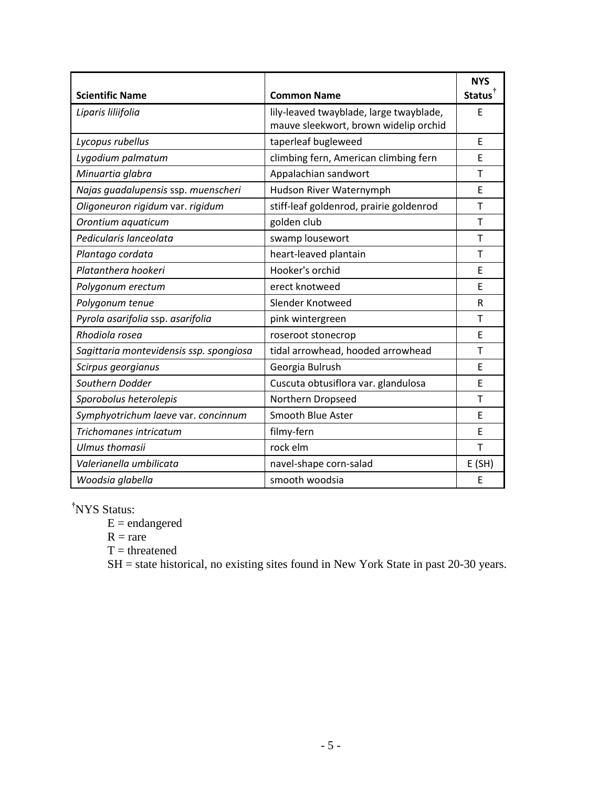| <b>Scientific Name</b>                  | <b>Common Name</b>                                                               | <b>NYS</b><br>Status <sup>†</sup> |
|-----------------------------------------|----------------------------------------------------------------------------------|-----------------------------------|
| Liparis liliifolia                      | lily-leaved twayblade, large twayblade,<br>mauve sleekwort, brown widelip orchid | F                                 |
| Lycopus rubellus                        | taperleaf bugleweed                                                              | F                                 |
| Lygodium palmatum                       | climbing fern, American climbing fern                                            | E                                 |
| Minuartia glabra                        | Appalachian sandwort                                                             | Т                                 |
| Najas guadalupensis ssp. muenscheri     | Hudson River Waternymph                                                          | E                                 |
| Oligoneuron rigidum var. rigidum        | stiff-leaf goldenrod, prairie goldenrod                                          | T                                 |
| Orontium aquaticum                      | golden club                                                                      | Т                                 |
| Pedicularis lanceolata                  | swamp lousewort                                                                  | T                                 |
| Plantago cordata                        | heart-leaved plantain                                                            | T                                 |
| Platanthera hookeri                     | Hooker's orchid                                                                  | E                                 |
| Polygonum erectum                       | erect knotweed                                                                   | F                                 |
| Polygonum tenue                         | Slender Knotweed                                                                 | R                                 |
| Pyrola asarifolia ssp. asarifolia       | pink wintergreen                                                                 | Т                                 |
| Rhodiola rosea                          | roseroot stonecrop                                                               | E                                 |
| Sagittaria montevidensis ssp. spongiosa | tidal arrowhead, hooded arrowhead                                                | т                                 |
| Scirpus georgianus                      | Georgia Bulrush                                                                  | F                                 |
| Southern Dodder                         | Cuscuta obtusiflora var. glandulosa                                              | E                                 |
| Sporobolus heterolepis                  | Northern Dropseed                                                                | Т                                 |
| Symphyotrichum laeve var. concinnum     | Smooth Blue Aster                                                                | E                                 |
| Trichomanes intricatum                  | filmy-fern                                                                       | F                                 |
| <b>Ulmus thomasii</b>                   | rock elm                                                                         | T                                 |
| Valerianella umbilicata                 | navel-shape corn-salad                                                           | E(SH)                             |
| Woodsia glabella                        | smooth woodsia                                                                   | E                                 |

**†**NYS Status:

 $E =$  endangered

 $R = rare$ 

 $T =$  threatened

SH = state historical, no existing sites found in New York State in past 20-30 years.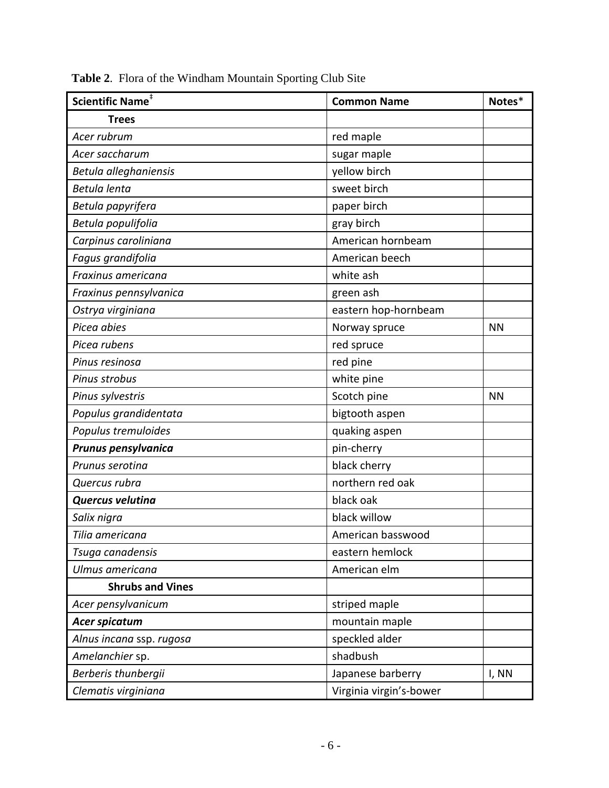| Scientific Name <sup>#</sup> | <b>Common Name</b>      | Notes*    |
|------------------------------|-------------------------|-----------|
| <b>Trees</b>                 |                         |           |
| Acer rubrum                  | red maple               |           |
| Acer saccharum               | sugar maple             |           |
| Betula alleghaniensis        | yellow birch            |           |
| Betula lenta                 | sweet birch             |           |
| Betula papyrifera            | paper birch             |           |
| Betula populifolia           | gray birch              |           |
| Carpinus caroliniana         | American hornbeam       |           |
| Fagus grandifolia            | American beech          |           |
| Fraxinus americana           | white ash               |           |
| Fraxinus pennsylvanica       | green ash               |           |
| Ostrya virginiana            | eastern hop-hornbeam    |           |
| Picea abies                  | Norway spruce           | <b>NN</b> |
| Picea rubens                 | red spruce              |           |
| Pinus resinosa               | red pine                |           |
| Pinus strobus                | white pine              |           |
| Pinus sylvestris             | Scotch pine             | <b>NN</b> |
| Populus grandidentata        | bigtooth aspen          |           |
| Populus tremuloides          | quaking aspen           |           |
| Prunus pensylvanica          | pin-cherry              |           |
| Prunus serotina              | black cherry            |           |
| Quercus rubra                | northern red oak        |           |
| Quercus velutina             | black oak               |           |
| Salix nigra                  | black willow            |           |
| Tilia americana              | American basswood       |           |
| Tsuga canadensis             | eastern hemlock         |           |
| Ulmus americana              | American elm            |           |
| <b>Shrubs and Vines</b>      |                         |           |
| Acer pensylvanicum           | striped maple           |           |
| Acer spicatum                | mountain maple          |           |
| Alnus incana ssp. rugosa     | speckled alder          |           |
| Amelanchier sp.              | shadbush                |           |
| Berberis thunbergii          | Japanese barberry       | I, NN     |
| Clematis virginiana          | Virginia virgin's-bower |           |

**Table 2**. Flora of the Windham Mountain Sporting Club Site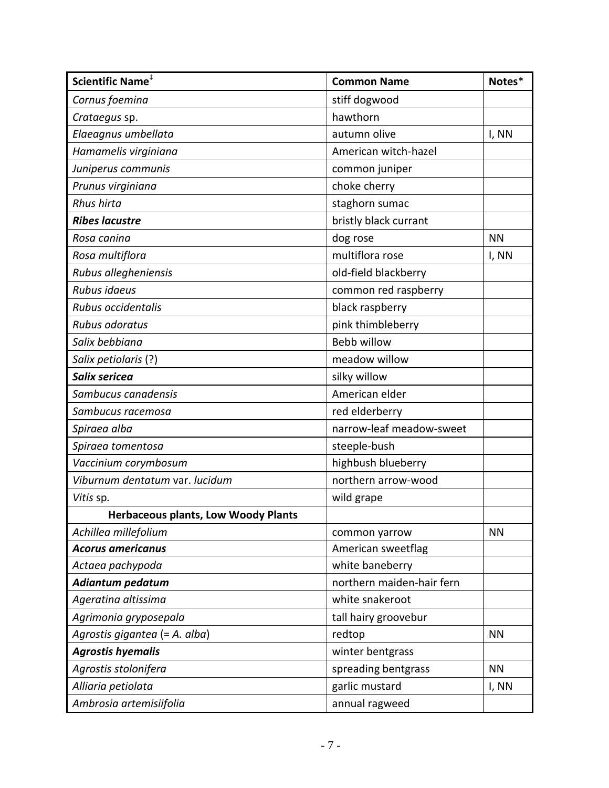| Scientific Name <sup>#</sup>               | <b>Common Name</b>        | Notes*    |
|--------------------------------------------|---------------------------|-----------|
| Cornus foemina                             | stiff dogwood             |           |
| Crataegus sp.                              | hawthorn                  |           |
| Elaeagnus umbellata                        | autumn olive              | I, NN     |
| Hamamelis virginiana                       | American witch-hazel      |           |
| Juniperus communis                         | common juniper            |           |
| Prunus virginiana                          | choke cherry              |           |
| Rhus hirta                                 | staghorn sumac            |           |
| <b>Ribes lacustre</b>                      | bristly black currant     |           |
| Rosa canina                                | dog rose                  | <b>NN</b> |
| Rosa multiflora                            | multiflora rose           | I, NN     |
| Rubus allegheniensis                       | old-field blackberry      |           |
| Rubus idaeus                               | common red raspberry      |           |
| Rubus occidentalis                         | black raspberry           |           |
| Rubus odoratus                             | pink thimbleberry         |           |
| Salix bebbiana                             | Bebb willow               |           |
| Salix petiolaris (?)                       | meadow willow             |           |
| Salix sericea                              | silky willow              |           |
| Sambucus canadensis                        | American elder            |           |
| Sambucus racemosa                          | red elderberry            |           |
| Spiraea alba                               | narrow-leaf meadow-sweet  |           |
| Spiraea tomentosa                          | steeple-bush              |           |
| Vaccinium corymbosum                       | highbush blueberry        |           |
| Viburnum dentatum var. lucidum             | northern arrow-wood       |           |
| Vitis sp.                                  | wild grape                |           |
| <b>Herbaceous plants, Low Woody Plants</b> |                           |           |
| Achillea millefolium                       | common yarrow             | <b>NN</b> |
| <b>Acorus americanus</b>                   | American sweetflag        |           |
| Actaea pachypoda                           | white baneberry           |           |
| Adiantum pedatum                           | northern maiden-hair fern |           |
| Ageratina altissima                        | white snakeroot           |           |
| Agrimonia gryposepala                      | tall hairy groovebur      |           |
| Agrostis gigantea (= A. alba)              | redtop                    | <b>NN</b> |
| <b>Agrostis hyemalis</b>                   | winter bentgrass          |           |
| Agrostis stolonifera                       | spreading bentgrass       | <b>NN</b> |
| Alliaria petiolata                         | garlic mustard            | I, NN     |
| Ambrosia artemisiifolia                    | annual ragweed            |           |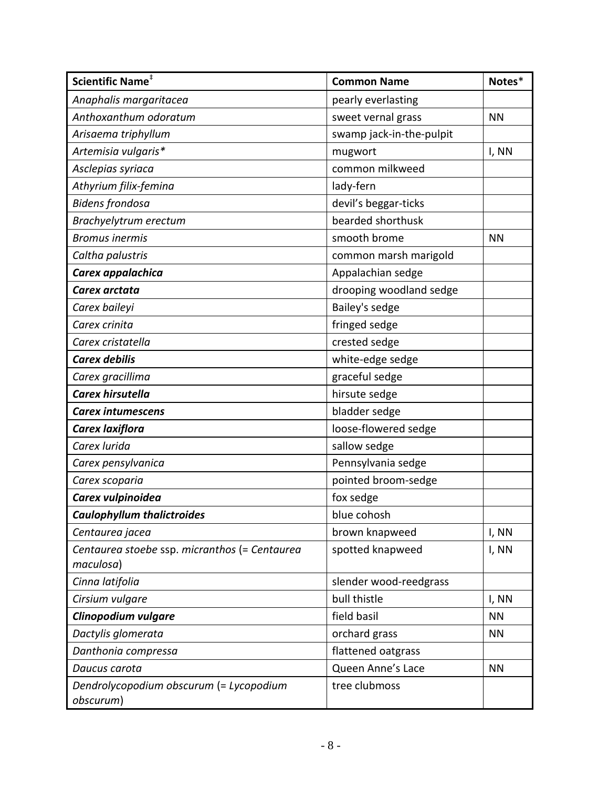| Scientific Name <sup>#</sup>                         | <b>Common Name</b>       | Notes*    |
|------------------------------------------------------|--------------------------|-----------|
| Anaphalis margaritacea                               | pearly everlasting       |           |
| Anthoxanthum odoratum                                | sweet vernal grass       | <b>NN</b> |
| Arisaema triphyllum                                  | swamp jack-in-the-pulpit |           |
| Artemisia vulgaris*                                  | mugwort                  | I, NN     |
| Asclepias syriaca                                    | common milkweed          |           |
| Athyrium filix-femina                                | lady-fern                |           |
| <b>Bidens frondosa</b>                               | devil's beggar-ticks     |           |
| Brachyelytrum erectum                                | bearded shorthusk        |           |
| <b>Bromus inermis</b>                                | smooth brome             | <b>NN</b> |
| Caltha palustris                                     | common marsh marigold    |           |
| Carex appalachica                                    | Appalachian sedge        |           |
| Carex arctata                                        | drooping woodland sedge  |           |
| Carex baileyi                                        | Bailey's sedge           |           |
| Carex crinita                                        | fringed sedge            |           |
| Carex cristatella                                    | crested sedge            |           |
| <b>Carex debilis</b>                                 | white-edge sedge         |           |
| Carex gracillima                                     | graceful sedge           |           |
| Carex hirsutella                                     | hirsute sedge            |           |
| <b>Carex intumescens</b>                             | bladder sedge            |           |
| Carex laxiflora                                      | loose-flowered sedge     |           |
| Carex lurida                                         | sallow sedge             |           |
| Carex pensylvanica                                   | Pennsylvania sedge       |           |
| Carex scoparia                                       | pointed broom-sedge      |           |
| Carex vulpinoidea                                    | fox sedge                |           |
| <b>Caulophyllum thalictroides</b>                    | blue cohosh              |           |
| Centaurea jacea                                      | brown knapweed           | I, NN     |
| Centaurea stoebe ssp. micranthos (= Centaurea        | spotted knapweed         | I, NN     |
| maculosa)                                            |                          |           |
| Cinna latifolia                                      | slender wood-reedgrass   |           |
| Cirsium vulgare                                      | bull thistle             | I, NN     |
| Clinopodium vulgare                                  | field basil              | <b>NN</b> |
| Dactylis glomerata                                   | orchard grass            | <b>NN</b> |
| Danthonia compressa                                  | flattened oatgrass       |           |
| Daucus carota                                        | Queen Anne's Lace        | <b>NN</b> |
| Dendrolycopodium obscurum (= Lycopodium<br>obscurum) | tree clubmoss            |           |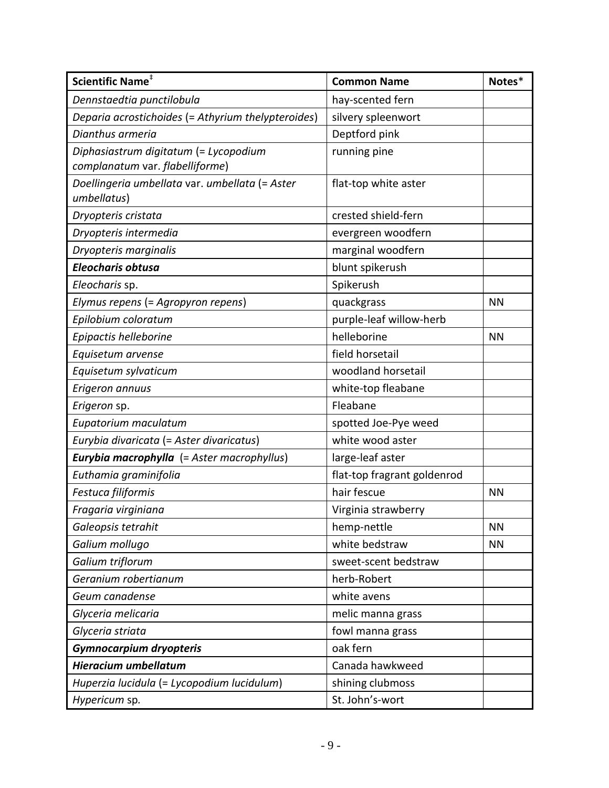| Scientific Name <sup>#</sup>                                             | <b>Common Name</b>          | Notes*    |
|--------------------------------------------------------------------------|-----------------------------|-----------|
| Dennstaedtia punctilobula                                                | hay-scented fern            |           |
| Deparia acrostichoides (= Athyrium thelypteroides)                       | silvery spleenwort          |           |
| Dianthus armeria                                                         | Deptford pink               |           |
| Diphasiastrum digitatum (= Lycopodium<br>complanatum var. flabelliforme) | running pine                |           |
| Doellingeria umbellata var. umbellata (= Aster<br>umbellatus)            | flat-top white aster        |           |
| Dryopteris cristata                                                      | crested shield-fern         |           |
| Dryopteris intermedia                                                    | evergreen woodfern          |           |
| Dryopteris marginalis                                                    | marginal woodfern           |           |
| <b>Eleocharis obtusa</b>                                                 | blunt spikerush             |           |
| Eleocharis sp.                                                           | Spikerush                   |           |
| Elymus repens (= Agropyron repens)                                       | quackgrass                  | <b>NN</b> |
| Epilobium coloratum                                                      | purple-leaf willow-herb     |           |
| Epipactis helleborine                                                    | helleborine                 | <b>NN</b> |
| Equisetum arvense                                                        | field horsetail             |           |
| Equisetum sylvaticum                                                     | woodland horsetail          |           |
| Erigeron annuus                                                          | white-top fleabane          |           |
| Erigeron sp.                                                             | Fleabane                    |           |
| Eupatorium maculatum                                                     | spotted Joe-Pye weed        |           |
| Eurybia divaricata (= Aster divaricatus)                                 | white wood aster            |           |
| Eurybia macrophylla (= Aster macrophyllus)                               | large-leaf aster            |           |
| Euthamia graminifolia                                                    | flat-top fragrant goldenrod |           |
| Festuca filiformis                                                       | hair fescue                 | <b>NN</b> |
| Fragaria virginiana                                                      | Virginia strawberry         |           |
| Galeopsis tetrahit                                                       | hemp-nettle                 | <b>NN</b> |
| Galium mollugo                                                           | white bedstraw              | <b>NN</b> |
| Galium triflorum                                                         | sweet-scent bedstraw        |           |
| Geranium robertianum                                                     | herb-Robert                 |           |
| Geum canadense                                                           | white avens                 |           |
| Glyceria melicaria                                                       | melic manna grass           |           |
| Glyceria striata                                                         | fowl manna grass            |           |
| <b>Gymnocarpium dryopteris</b>                                           | oak fern                    |           |
| <b>Hieracium umbellatum</b>                                              | Canada hawkweed             |           |
| Huperzia lucidula (= Lycopodium lucidulum)                               | shining clubmoss            |           |
| Hypericum sp.                                                            | St. John's-wort             |           |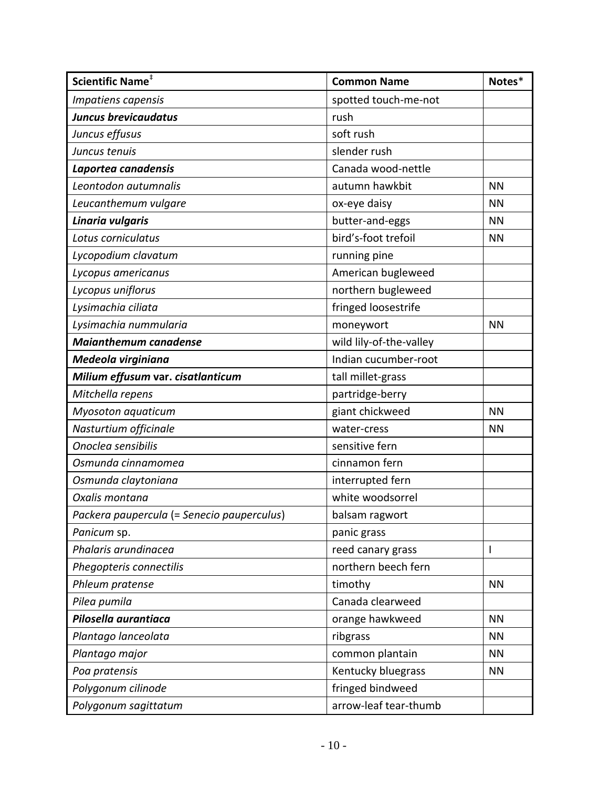| Scientific Name <sup>#</sup>               | <b>Common Name</b>      | Notes*       |
|--------------------------------------------|-------------------------|--------------|
| Impatiens capensis                         | spotted touch-me-not    |              |
| <b>Juncus brevicaudatus</b>                | rush                    |              |
| Juncus effusus                             | soft rush               |              |
| Juncus tenuis                              | slender rush            |              |
| Laportea canadensis                        | Canada wood-nettle      |              |
| Leontodon autumnalis                       | autumn hawkbit          | <b>NN</b>    |
| Leucanthemum vulgare                       | ox-eye daisy            | <b>NN</b>    |
| Linaria vulgaris                           | butter-and-eggs         | <b>NN</b>    |
| Lotus corniculatus                         | bird's-foot trefoil     | <b>NN</b>    |
| Lycopodium clavatum                        | running pine            |              |
| Lycopus americanus                         | American bugleweed      |              |
| Lycopus uniflorus                          | northern bugleweed      |              |
| Lysimachia ciliata                         | fringed loosestrife     |              |
| Lysimachia nummularia                      | moneywort               | <b>NN</b>    |
| <b>Maianthemum canadense</b>               | wild lily-of-the-valley |              |
| Medeola virginiana                         | Indian cucumber-root    |              |
| Milium effusum var. cisatlanticum          | tall millet-grass       |              |
| Mitchella repens                           | partridge-berry         |              |
| Myosoton aquaticum                         | giant chickweed         | <b>NN</b>    |
| Nasturtium officinale                      | water-cress             | <b>NN</b>    |
| Onoclea sensibilis                         | sensitive fern          |              |
| Osmunda cinnamomea                         | cinnamon fern           |              |
| Osmunda claytoniana                        | interrupted fern        |              |
| Oxalis montana                             | white woodsorrel        |              |
| Packera paupercula (= Senecio pauperculus) | balsam ragwort          |              |
| Panicum sp.                                | panic grass             |              |
| Phalaris arundinacea                       | reed canary grass       | $\mathsf{I}$ |
| Phegopteris connectilis                    | northern beech fern     |              |
| Phleum pratense                            | timothy                 | <b>NN</b>    |
| Pilea pumila                               | Canada clearweed        |              |
| Pilosella aurantiaca                       | orange hawkweed         | <b>NN</b>    |
| Plantago lanceolata                        | ribgrass                | <b>NN</b>    |
| Plantago major                             | common plantain         | <b>NN</b>    |
| Poa pratensis                              | Kentucky bluegrass      | <b>NN</b>    |
| Polygonum cilinode                         | fringed bindweed        |              |
| Polygonum sagittatum                       | arrow-leaf tear-thumb   |              |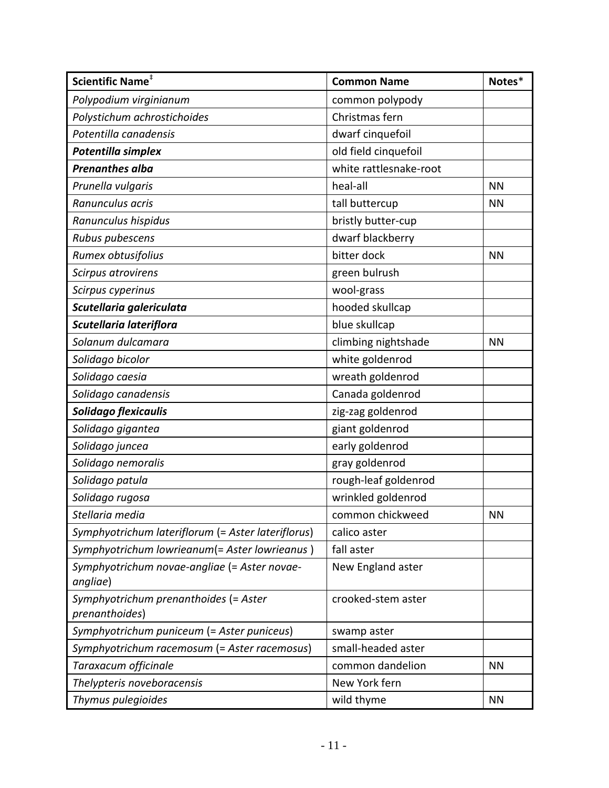| Scientific Name <sup>#</sup>                             | <b>Common Name</b>     | Notes*    |
|----------------------------------------------------------|------------------------|-----------|
| Polypodium virginianum                                   | common polypody        |           |
| Polystichum achrostichoides                              | Christmas fern         |           |
| Potentilla canadensis                                    | dwarf cinquefoil       |           |
| Potentilla simplex                                       | old field cinquefoil   |           |
| <b>Prenanthes alba</b>                                   | white rattlesnake-root |           |
| Prunella vulgaris                                        | heal-all               | <b>NN</b> |
| Ranunculus acris                                         | tall buttercup         | <b>NN</b> |
| Ranunculus hispidus                                      | bristly butter-cup     |           |
| Rubus pubescens                                          | dwarf blackberry       |           |
| Rumex obtusifolius                                       | bitter dock            | <b>NN</b> |
| Scirpus atrovirens                                       | green bulrush          |           |
| Scirpus cyperinus                                        | wool-grass             |           |
| Scutellaria galericulata                                 | hooded skullcap        |           |
| Scutellaria lateriflora                                  | blue skullcap          |           |
| Solanum dulcamara                                        | climbing nightshade    | <b>NN</b> |
| Solidago bicolor                                         | white goldenrod        |           |
| Solidago caesia                                          | wreath goldenrod       |           |
| Solidago canadensis                                      | Canada goldenrod       |           |
| Solidago flexicaulis                                     | zig-zag goldenrod      |           |
| Solidago gigantea                                        | giant goldenrod        |           |
| Solidago juncea                                          | early goldenrod        |           |
| Solidago nemoralis                                       | gray goldenrod         |           |
| Solidago patula                                          | rough-leaf goldenrod   |           |
| Solidago rugosa                                          | wrinkled goldenrod     |           |
| Stellaria media                                          | common chickweed       | <b>NN</b> |
| Symphyotrichum lateriflorum (= Aster lateriflorus)       | calico aster           |           |
| Symphyotrichum lowrieanum(= Aster lowrieanus)            | fall aster             |           |
| Symphyotrichum novae-angliae (= Aster novae-<br>angliae) | New England aster      |           |
| Symphyotrichum prenanthoides (= Aster<br>prenanthoides)  | crooked-stem aster     |           |
| Symphyotrichum puniceum (= Aster puniceus)               | swamp aster            |           |
| Symphyotrichum racemosum (= Aster racemosus)             | small-headed aster     |           |
| Taraxacum officinale                                     | common dandelion       | <b>NN</b> |
| Thelypteris noveboracensis                               | New York fern          |           |
| Thymus pulegioides                                       | wild thyme             | <b>NN</b> |